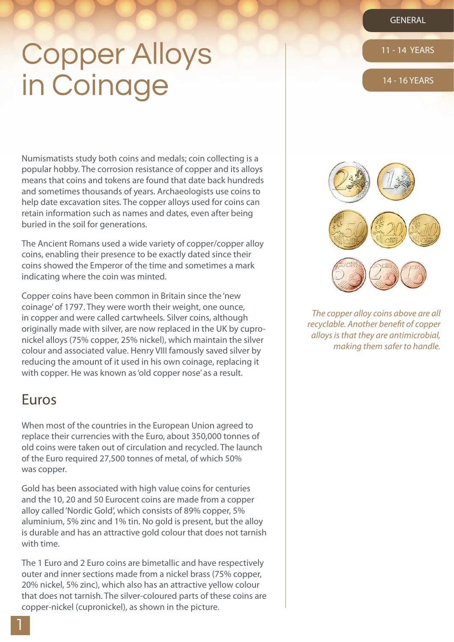GENERAL

11 - 14 YEARS

14 - 16 YEARS

## Copper Alloys in Coinage

Numismatists study both coins and medals; coin collecting is a popular hobby. The corrosion resistance of copper and its alloys means that coins and tokens are found that date back hundreds and sometimes thousands of years. Archaeologists use coins to help date excavation sites. The copper alloys used for coins can retain information such as names and dates, even after being buried in the soil for generations.

The Ancient Romans used a wide variety of copper/copper alloy coins, enabling their presence to be exactly dated since their coins showed the Emperor of the time and sometimes a mark indicating where the coin was minted.

Copper coins have been common in Britain since the 'new coinage' of 1797. They were worth their weight, one ounce, in copper and were called cartwheels. Silver coins, although originally made with silver, are now replaced in the UK by cupronickel alloys (75% copper, 25% nickel), which maintain the silver colour and associated value. Henry VIII famously saved silver by reducing the amount of it used in his own coinage, replacing it with copper. He was known as 'old copper nose' as a result.

## Euros

When most of the countries in the European Union agreed to replace their currencies with the Euro, about 350,000 tonnes of old coins were taken out of circulation and recycled. The launch of the Euro required 27,500 tonnes of metal, of which 50% was copper.

Gold has been associated with high value coins for centuries and the 10, 20 and 50 Eurocent coins are made from a copper alloy called 'Nordic Gold', which consists of 89% copper, 5% aluminium, 5% zinc and 1% tin. No gold is present, but the alloy is durable and has an attractive gold colour that does not tarnish with time.

The 1 Euro and 2 Euro coins are bimetallic and have respectively outer and inner sections made from a nickel brass (75% copper, 20% nickel, 5% zinc), which also has an attractive yellow colour that does not tarnish. The silver-coloured parts of these coins are copper-nickel (cupronickel), as shown in the picture.



*The copper alloy coins above are all recyclable. Another benefit of copper alloys is that they are antimicrobial, making them safer to handle.*